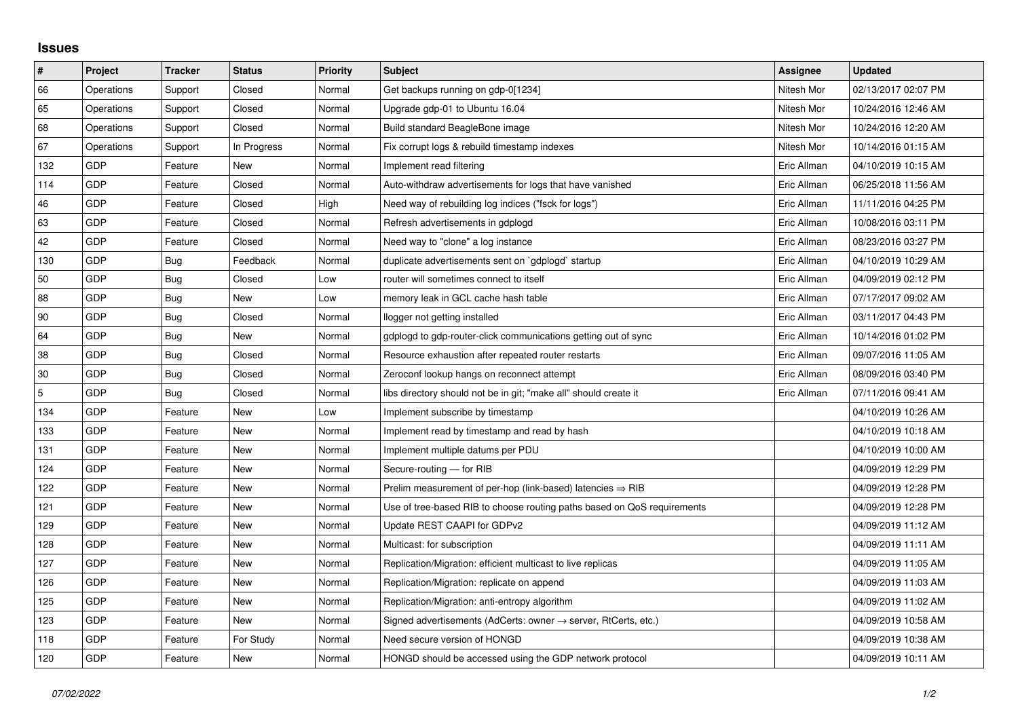## **Issues**

| $\vert$ # | Project    | <b>Tracker</b> | <b>Status</b> | <b>Priority</b> | <b>Subject</b>                                                          | Assignee    | <b>Updated</b>      |
|-----------|------------|----------------|---------------|-----------------|-------------------------------------------------------------------------|-------------|---------------------|
| 66        | Operations | Support        | Closed        | Normal          | Get backups running on gdp-0[1234]                                      | Nitesh Mor  | 02/13/2017 02:07 PM |
| 65        | Operations | Support        | Closed        | Normal          | Upgrade gdp-01 to Ubuntu 16.04                                          | Nitesh Mor  | 10/24/2016 12:46 AM |
| 68        | Operations | Support        | Closed        | Normal          | Build standard BeagleBone image                                         | Nitesh Mor  | 10/24/2016 12:20 AM |
| 67        | Operations | Support        | In Progress   | Normal          | Fix corrupt logs & rebuild timestamp indexes                            | Nitesh Mor  | 10/14/2016 01:15 AM |
| 132       | <b>GDP</b> | Feature        | New           | Normal          | Implement read filtering                                                | Eric Allman | 04/10/2019 10:15 AM |
| 114       | <b>GDP</b> | Feature        | Closed        | Normal          | Auto-withdraw advertisements for logs that have vanished                | Eric Allman | 06/25/2018 11:56 AM |
| 46        | <b>GDP</b> | Feature        | Closed        | High            | Need way of rebuilding log indices ("fsck for logs")                    | Eric Allman | 11/11/2016 04:25 PM |
| 63        | <b>GDP</b> | Feature        | Closed        | Normal          | Refresh advertisements in gdplogd                                       | Eric Allman | 10/08/2016 03:11 PM |
| 42        | <b>GDP</b> | Feature        | Closed        | Normal          | Need way to "clone" a log instance                                      | Eric Allman | 08/23/2016 03:27 PM |
| 130       | <b>GDP</b> | Bug            | Feedback      | Normal          | duplicate advertisements sent on `gdplogd` startup                      | Eric Allman | 04/10/2019 10:29 AM |
| 50        | <b>GDP</b> | Bug            | Closed        | Low             | router will sometimes connect to itself                                 | Eric Allman | 04/09/2019 02:12 PM |
| 88        | <b>GDP</b> | Bug            | <b>New</b>    | Low             | memory leak in GCL cache hash table                                     | Eric Allman | 07/17/2017 09:02 AM |
| 90        | <b>GDP</b> | Bug            | Closed        | Normal          | llogger not getting installed                                           | Eric Allman | 03/11/2017 04:43 PM |
| 64        | <b>GDP</b> | Bug            | New           | Normal          | gdplogd to gdp-router-click communications getting out of sync          | Eric Allman | 10/14/2016 01:02 PM |
| 38        | <b>GDP</b> | Bug            | Closed        | Normal          | Resource exhaustion after repeated router restarts                      | Eric Allman | 09/07/2016 11:05 AM |
| 30        | <b>GDP</b> | Bug            | Closed        | Normal          | Zeroconf lookup hangs on reconnect attempt                              | Eric Allman | 08/09/2016 03:40 PM |
| 5         | <b>GDP</b> | Bug            | Closed        | Normal          | libs directory should not be in git; "make all" should create it        | Eric Allman | 07/11/2016 09:41 AM |
| 134       | <b>GDP</b> | Feature        | New           | Low             | Implement subscribe by timestamp                                        |             | 04/10/2019 10:26 AM |
| 133       | <b>GDP</b> | Feature        | <b>New</b>    | Normal          | Implement read by timestamp and read by hash                            |             | 04/10/2019 10:18 AM |
| 131       | <b>GDP</b> | Feature        | New           | Normal          | Implement multiple datums per PDU                                       |             | 04/10/2019 10:00 AM |
| 124       | <b>GDP</b> | Feature        | New           | Normal          | Secure-routing - for RIB                                                |             | 04/09/2019 12:29 PM |
| 122       | <b>GDP</b> | Feature        | New           | Normal          | Prelim measurement of per-hop (link-based) latencies $\Rightarrow$ RIB  |             | 04/09/2019 12:28 PM |
| 121       | <b>GDP</b> | Feature        | <b>New</b>    | Normal          | Use of tree-based RIB to choose routing paths based on QoS requirements |             | 04/09/2019 12:28 PM |
| 129       | <b>GDP</b> | Feature        | New           | Normal          | Update REST CAAPI for GDPv2                                             |             | 04/09/2019 11:12 AM |
| 128       | <b>GDP</b> | Feature        | <b>New</b>    | Normal          | Multicast: for subscription                                             |             | 04/09/2019 11:11 AM |
| 127       | <b>GDP</b> | Feature        | <b>New</b>    | Normal          | Replication/Migration: efficient multicast to live replicas             |             | 04/09/2019 11:05 AM |
| 126       | <b>GDP</b> | Feature        | New           | Normal          | Replication/Migration: replicate on append                              |             | 04/09/2019 11:03 AM |
| 125       | <b>GDP</b> | Feature        | <b>New</b>    | Normal          | Replication/Migration: anti-entropy algorithm                           |             | 04/09/2019 11:02 AM |
| 123       | GDP        | Feature        | New           | Normal          | Signed advertisements (AdCerts: owner → server, RtCerts, etc.)          |             | 04/09/2019 10:58 AM |
| 118       | <b>GDP</b> | Feature        | For Study     | Normal          | Need secure version of HONGD                                            |             | 04/09/2019 10:38 AM |
| 120       | <b>GDP</b> | Feature        | New           | Normal          | HONGD should be accessed using the GDP network protocol                 |             | 04/09/2019 10:11 AM |